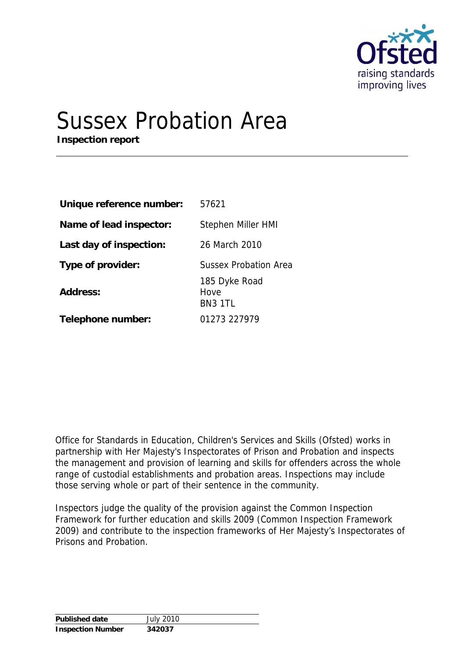

# Sussex Probation Area

**Inspection report**

| Unique reference number: | 57621                            |
|--------------------------|----------------------------------|
| Name of lead inspector:  | Stephen Miller HMI               |
| Last day of inspection:  | 26 March 2010                    |
| Type of provider:        | <b>Sussex Probation Area</b>     |
| Address:                 | 185 Dyke Road<br>Hove<br>BN3 1TL |
| Telephone number:        | 01273 227979                     |

Office for Standards in Education, Children's Services and Skills (Ofsted) works in partnership with Her Majesty's Inspectorates of Prison and Probation and inspects the management and provision of learning and skills for offenders across the whole range of custodial establishments and probation areas. Inspections may include those serving whole or part of their sentence in the community.

Inspectors judge the quality of the provision against the *Common Inspection Framework* for further education and skills 2009 (*Common Inspection Framework* 2009) and contribute to the inspection frameworks of Her Majesty's Inspectorates of Prisons and Probation.

| Published date           | <b>July 2010</b> |
|--------------------------|------------------|
| <b>Inspection Number</b> | 342037           |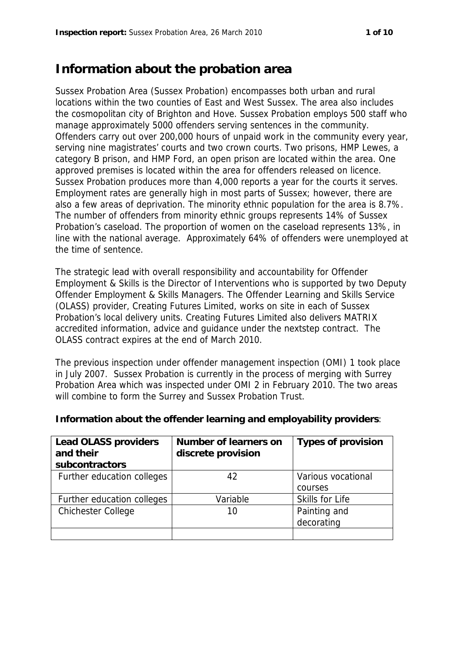## **Information about the probation area**

Sussex Probation Area (Sussex Probation) encompasses both urban and rural locations within the two counties of East and West Sussex. The area also includes the cosmopolitan city of Brighton and Hove. Sussex Probation employs 500 staff who manage approximately 5000 offenders serving sentences in the community. Offenders carry out over 200,000 hours of unpaid work in the community every year, serving nine magistrates' courts and two crown courts. Two prisons, HMP Lewes, a category B prison, and HMP Ford, an open prison are located within the area. One approved premises is located within the area for offenders released on licence. Sussex Probation produces more than 4,000 reports a year for the courts it serves. Employment rates are generally high in most parts of Sussex; however, there are also a few areas of deprivation. The minority ethnic population for the area is 8.7%. The number of offenders from minority ethnic groups represents 14% of Sussex Probation's caseload. The proportion of women on the caseload represents 13%, in line with the national average. Approximately 64% of offenders were unemployed at the time of sentence.

The strategic lead with overall responsibility and accountability for Offender Employment & Skills is the Director of Interventions who is supported by two Deputy Offender Employment & Skills Managers. The Offender Learning and Skills Service (OLASS) provider, Creating Futures Limited, works on site in each of Sussex Probation's local delivery units. Creating Futures Limited also delivers MATRIX accredited information, advice and guidance under the nextstep contract. The OLASS contract expires at the end of March 2010.

The previous inspection under offender management inspection (OMI) 1 took place in July 2007. Sussex Probation is currently in the process of merging with Surrey Probation Area which was inspected under OMI 2 in February 2010. The two areas will combine to form the Surrey and Sussex Probation Trust.

| Lead OLASS providers<br>and their | Number of learners on<br>discrete provision | Types of provision |
|-----------------------------------|---------------------------------------------|--------------------|
| subcontractors                    |                                             |                    |
| Further education colleges        | 42                                          | Various vocational |
|                                   |                                             | courses            |
| Further education colleges        | Variable                                    | Skills for Life    |
| <b>Chichester College</b>         | 10                                          | Painting and       |
|                                   |                                             | decorating         |
|                                   |                                             |                    |

**Information about the offender learning and employability providers**: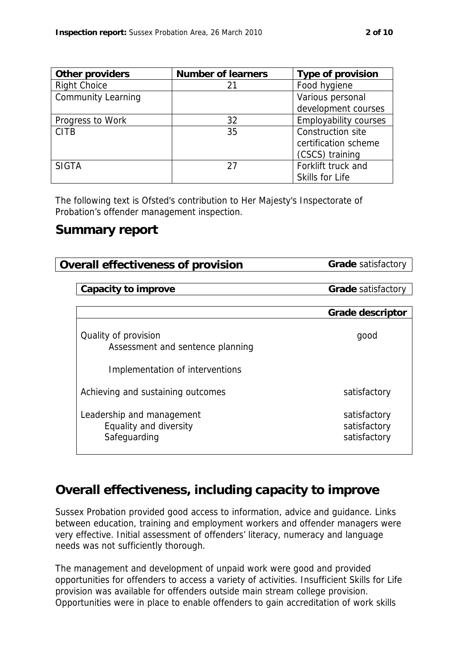| Other providers           | Number of learners | Type of provision            |
|---------------------------|--------------------|------------------------------|
| <b>Right Choice</b>       | 21                 | Food hygiene                 |
| <b>Community Learning</b> |                    | Various personal             |
|                           |                    | development courses          |
| Progress to Work          | 32                 | <b>Employability courses</b> |
| <b>CITB</b>               | 35                 | Construction site            |
|                           |                    | certification scheme         |
|                           |                    | (CSCS) training              |
| <b>SIGTA</b>              | 27                 | Forklift truck and           |
|                           |                    | Skills for Life              |

The following text is Ofsted's contribution to Her Majesty's Inspectorate of Probation's offender management inspection.

#### **Summary report**

**Overall effectiveness of provision Grade** satisfactory

**Capacity to improve <b>Grade Grade** satisfactory

|                                                                     | Grade descriptor                             |
|---------------------------------------------------------------------|----------------------------------------------|
| Quality of provision<br>Assessment and sentence planning            | good                                         |
| Implementation of interventions                                     |                                              |
| Achieving and sustaining outcomes                                   | satisfactory                                 |
| Leadership and management<br>Equality and diversity<br>Safeguarding | satisfactory<br>satisfactory<br>satisfactory |

## **Overall effectiveness, including capacity to improve**

Sussex Probation provided good access to information, advice and guidance. Links between education, training and employment workers and offender managers were very effective. Initial assessment of offenders' literacy, numeracy and language needs was not sufficiently thorough.

The management and development of unpaid work were good and provided opportunities for offenders to access a variety of activities. Insufficient Skills for Life provision was available for offenders outside main stream college provision. Opportunities were in place to enable offenders to gain accreditation of work skills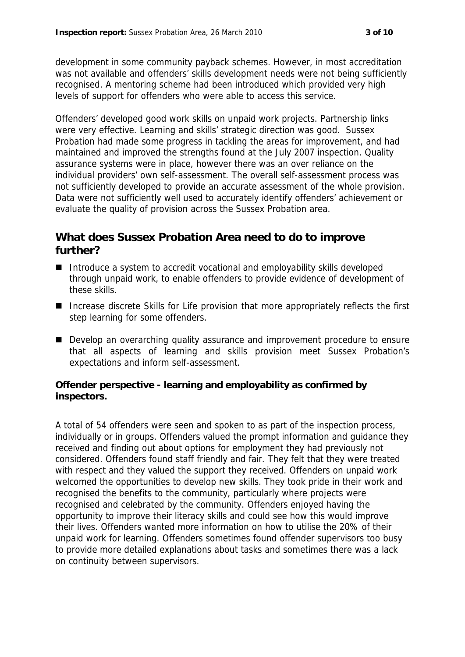development in some community payback schemes. However, in most accreditation was not available and offenders' skills development needs were not being sufficiently recognised. A mentoring scheme had been introduced which provided very high levels of support for offenders who were able to access this service.

Offenders' developed good work skills on unpaid work projects. Partnership links were very effective. Learning and skills' strategic direction was good. Sussex Probation had made some progress in tackling the areas for improvement, and had maintained and improved the strengths found at the July 2007 inspection. Quality assurance systems were in place, however there was an over reliance on the individual providers' own self-assessment. The overall self-assessment process was not sufficiently developed to provide an accurate assessment of the whole provision. Data were not sufficiently well used to accurately identify offenders' achievement or evaluate the quality of provision across the Sussex Probation area.

#### **What does Sussex Probation Area need to do to improve further?**

- Introduce a system to accredit vocational and employability skills developed through unpaid work, to enable offenders to provide evidence of development of these skills.
- Increase discrete Skills for Life provision that more appropriately reflects the first step learning for some offenders.
- Develop an overarching quality assurance and improvement procedure to ensure that all aspects of learning and skills provision meet Sussex Probation's expectations and inform self-assessment.

**Offender perspective - learning and employability as confirmed by inspectors.**

A total of 54 offenders were seen and spoken to as part of the inspection process, individually or in groups. Offenders valued the prompt information and guidance they received and finding out about options for employment they had previously not considered. Offenders found staff friendly and fair. They felt that they were treated with respect and they valued the support they received. Offenders on unpaid work welcomed the opportunities to develop new skills. They took pride in their work and recognised the benefits to the community, particularly where projects were recognised and celebrated by the community. Offenders enjoyed having the opportunity to improve their literacy skills and could see how this would improve their lives. Offenders wanted more information on how to utilise the 20% of their unpaid work for learning. Offenders sometimes found offender supervisors too busy to provide more detailed explanations about tasks and sometimes there was a lack on continuity between supervisors.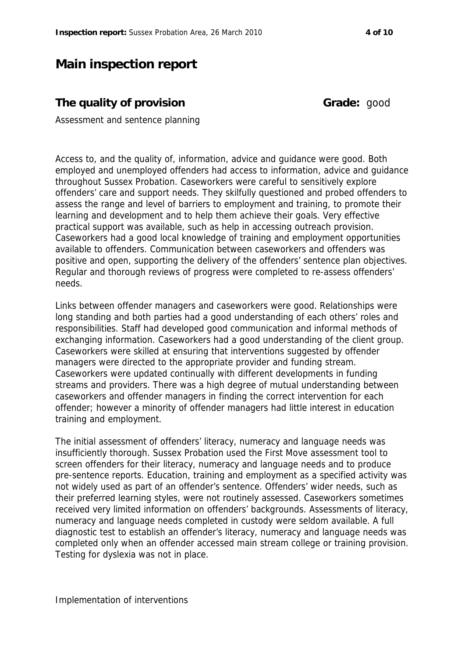### **Main inspection report**

#### **The quality of provision Grade:** good

Assessment and sentence planning

Access to, and the quality of, information, advice and guidance were good. Both employed and unemployed offenders had access to information, advice and guidance throughout Sussex Probation. Caseworkers were careful to sensitively explore offenders' care and support needs. They skilfully questioned and probed offenders to assess the range and level of barriers to employment and training, to promote their learning and development and to help them achieve their goals. Very effective practical support was available, such as help in accessing outreach provision. Caseworkers had a good local knowledge of training and employment opportunities available to offenders. Communication between caseworkers and offenders was positive and open, supporting the delivery of the offenders' sentence plan objectives. Regular and thorough reviews of progress were completed to re-assess offenders' needs.

Links between offender managers and caseworkers were good. Relationships were long standing and both parties had a good understanding of each others' roles and responsibilities. Staff had developed good communication and informal methods of exchanging information. Caseworkers had a good understanding of the client group. Caseworkers were skilled at ensuring that interventions suggested by offender managers were directed to the appropriate provider and funding stream. Caseworkers were updated continually with different developments in funding streams and providers. There was a high degree of mutual understanding between caseworkers and offender managers in finding the correct intervention for each offender; however a minority of offender managers had little interest in education training and employment.

The initial assessment of offenders' literacy, numeracy and language needs was insufficiently thorough. Sussex Probation used the First Move assessment tool to screen offenders for their literacy, numeracy and language needs and to produce pre-sentence reports. Education, training and employment as a specified activity was not widely used as part of an offender's sentence. Offenders' wider needs, such as their preferred learning styles, were not routinely assessed. Caseworkers sometimes received very limited information on offenders' backgrounds. Assessments of literacy, numeracy and language needs completed in custody were seldom available. A full diagnostic test to establish an offender's literacy, numeracy and language needs was completed only when an offender accessed main stream college or training provision. Testing for dyslexia was not in place.

Implementation of interventions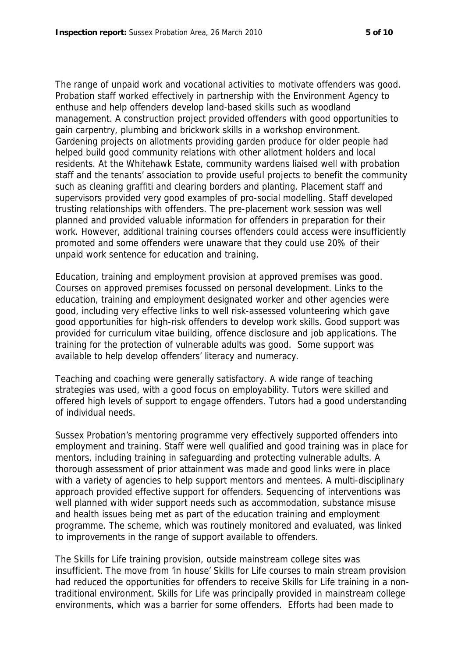The range of unpaid work and vocational activities to motivate offenders was good. Probation staff worked effectively in partnership with the Environment Agency to enthuse and help offenders develop land-based skills such as woodland management. A construction project provided offenders with good opportunities to gain carpentry, plumbing and brickwork skills in a workshop environment. Gardening projects on allotments providing garden produce for older people had helped build good community relations with other allotment holders and local residents. At the Whitehawk Estate, community wardens liaised well with probation staff and the tenants' association to provide useful projects to benefit the community such as cleaning graffiti and clearing borders and planting. Placement staff and supervisors provided very good examples of pro-social modelling. Staff developed trusting relationships with offenders. The pre-placement work session was well planned and provided valuable information for offenders in preparation for their work. However, additional training courses offenders could access were insufficiently promoted and some offenders were unaware that they could use 20% of their unpaid work sentence for education and training.

Education, training and employment provision at approved premises was good. Courses on approved premises focussed on personal development. Links to the education, training and employment designated worker and other agencies were good, including very effective links to well risk-assessed volunteering which gave good opportunities for high-risk offenders to develop work skills. Good support was provided for curriculum vitae building, offence disclosure and job applications. The training for the protection of vulnerable adults was good. Some support was available to help develop offenders' literacy and numeracy.

Teaching and coaching were generally satisfactory. A wide range of teaching strategies was used, with a good focus on employability. Tutors were skilled and offered high levels of support to engage offenders. Tutors had a good understanding of individual needs.

Sussex Probation's mentoring programme very effectively supported offenders into employment and training. Staff were well qualified and good training was in place for mentors, including training in safeguarding and protecting vulnerable adults. A thorough assessment of prior attainment was made and good links were in place with a variety of agencies to help support mentors and mentees. A multi-disciplinary approach provided effective support for offenders. Sequencing of interventions was well planned with wider support needs such as accommodation, substance misuse and health issues being met as part of the education training and employment programme. The scheme, which was routinely monitored and evaluated, was linked to improvements in the range of support available to offenders.

The Skills for Life training provision, outside mainstream college sites was insufficient. The move from 'in house' Skills for Life courses to main stream provision had reduced the opportunities for offenders to receive Skills for Life training in a nontraditional environment. Skills for Life was principally provided in mainstream college environments, which was a barrier for some offenders. Efforts had been made to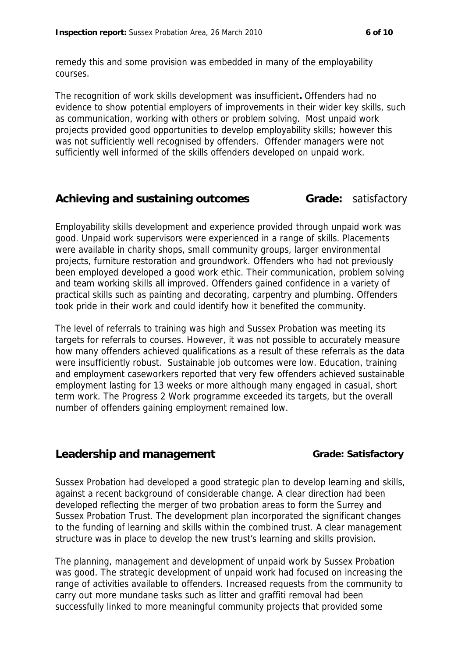remedy this and some provision was embedded in many of the employability courses.

The recognition of work skills development was insufficient**.** Offenders had no evidence to show potential employers of improvements in their wider key skills, such as communication, working with others or problem solving. Most unpaid work projects provided good opportunities to develop employability skills; however this was not sufficiently well recognised by offenders. Offender managers were not sufficiently well informed of the skills offenders developed on unpaid work.

#### **Achieving and sustaining outcomes Grade:** satisfactory

Employability skills development and experience provided through unpaid work was good. Unpaid work supervisors were experienced in a range of skills. Placements were available in charity shops, small community groups, larger environmental projects, furniture restoration and groundwork. Offenders who had not previously been employed developed a good work ethic. Their communication, problem solving and team working skills all improved. Offenders gained confidence in a variety of practical skills such as painting and decorating, carpentry and plumbing. Offenders took pride in their work and could identify how it benefited the community.

The level of referrals to training was high and Sussex Probation was meeting its targets for referrals to courses. However, it was not possible to accurately measure how many offenders achieved qualifications as a result of these referrals as the data were insufficiently robust. Sustainable job outcomes were low. Education, training and employment caseworkers reported that very few offenders achieved sustainable employment lasting for 13 weeks or more although many engaged in casual, short term work. The Progress 2 Work programme exceeded its targets, but the overall number of offenders gaining employment remained low.

#### Leadership and management **Grade:** Satisfactory

Sussex Probation had developed a good strategic plan to develop learning and skills, against a recent background of considerable change. A clear direction had been developed reflecting the merger of two probation areas to form the Surrey and Sussex Probation Trust. The development plan incorporated the significant changes to the funding of learning and skills within the combined trust. A clear management structure was in place to develop the new trust's learning and skills provision.

The planning, management and development of unpaid work by Sussex Probation was good. The strategic development of unpaid work had focused on increasing the range of activities available to offenders. Increased requests from the community to carry out more mundane tasks such as litter and graffiti removal had been successfully linked to more meaningful community projects that provided some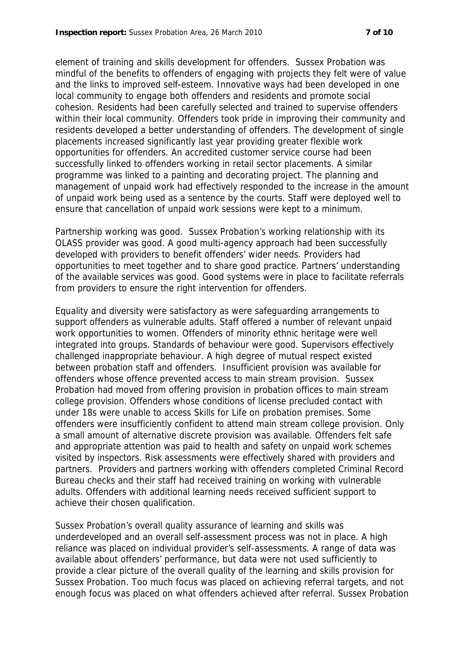element of training and skills development for offenders. Sussex Probation was mindful of the benefits to offenders of engaging with projects they felt were of value and the links to improved self-esteem. Innovative ways had been developed in one local community to engage both offenders and residents and promote social cohesion. Residents had been carefully selected and trained to supervise offenders within their local community. Offenders took pride in improving their community and residents developed a better understanding of offenders. The development of single placements increased significantly last year providing greater flexible work opportunities for offenders. An accredited customer service course had been successfully linked to offenders working in retail sector placements. A similar programme was linked to a painting and decorating project. The planning and management of unpaid work had effectively responded to the increase in the amount of unpaid work being used as a sentence by the courts. Staff were deployed well to ensure that cancellation of unpaid work sessions were kept to a minimum.

Partnership working was good. Sussex Probation's working relationship with its OLASS provider was good. A good multi-agency approach had been successfully developed with providers to benefit offenders' wider needs. Providers had opportunities to meet together and to share good practice. Partners' understanding of the available services was good. Good systems were in place to facilitate referrals from providers to ensure the right intervention for offenders.

Equality and diversity were satisfactory as were safeguarding arrangements to support offenders as vulnerable adults. Staff offered a number of relevant unpaid work opportunities to women. Offenders of minority ethnic heritage were well integrated into groups. Standards of behaviour were good. Supervisors effectively challenged inappropriate behaviour. A high degree of mutual respect existed between probation staff and offenders. Insufficient provision was available for offenders whose offence prevented access to main stream provision. Sussex Probation had moved from offering provision in probation offices to main stream college provision. Offenders whose conditions of license precluded contact with under 18s were unable to access Skills for Life on probation premises. Some offenders were insufficiently confident to attend main stream college provision. Only a small amount of alternative discrete provision was available. Offenders felt safe and appropriate attention was paid to health and safety on unpaid work schemes visited by inspectors. Risk assessments were effectively shared with providers and partners. Providers and partners working with offenders completed Criminal Record Bureau checks and their staff had received training on working with vulnerable adults. Offenders with additional learning needs received sufficient support to achieve their chosen qualification.

Sussex Probation's overall quality assurance of learning and skills was underdeveloped and an overall self-assessment process was not in place. A high reliance was placed on individual provider's self-assessments. A range of data was available about offenders' performance, but data were not used sufficiently to provide a clear picture of the overall quality of the learning and skills provision for Sussex Probation. Too much focus was placed on achieving referral targets, and not enough focus was placed on what offenders achieved after referral. Sussex Probation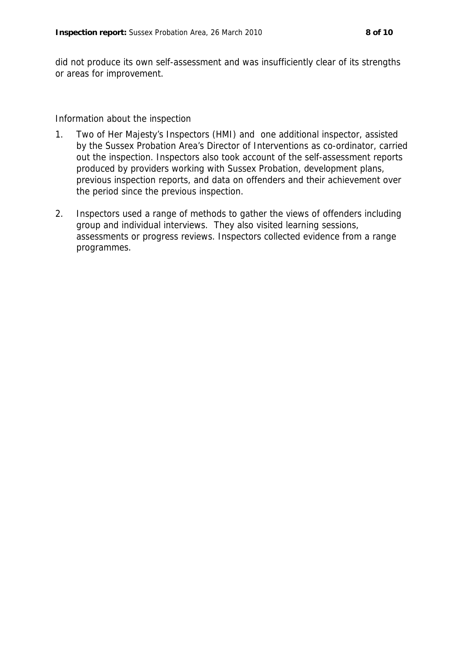did not produce its own self-assessment and was insufficiently clear of its strengths or areas for improvement.

Information about the inspection

- 1. Two of Her Majesty's Inspectors (HMI) and one additional inspector, assisted by the Sussex Probation Area's Director of Interventions as co-ordinator, carried out the inspection. Inspectors also took account of the self-assessment reports produced by providers working with Sussex Probation, development plans, previous inspection reports, and data on offenders and their achievement over the period since the previous inspection.
- 2. Inspectors used a range of methods to gather the views of offenders including group and individual interviews. They also visited learning sessions, assessments or progress reviews. Inspectors collected evidence from a range programmes.